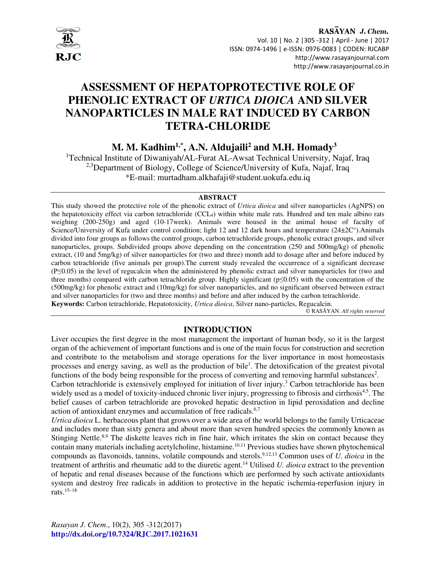

# **ASSESSMENT OF HEPATOPROTECTIVE ROLE OF PHENOLIC EXTRACT OF** *URTICA DIOICA* **AND SILVER NANOPARTICLES IN MALE RAT INDUCED BY CARBON TETRA-CHLORIDE**

## **M. M. Kadhim1,\*, A.N. Aldujaili<sup>2</sup> and M.H. Homady<sup>3</sup>**

<sup>1</sup>Technical Institute of Diwaniyah/AL-Furat AL-Awsat Technical University, Najaf, Iraq <sup>2,3</sup>Department of Biology, College of Science/University of Kufa, Najaf, Iraq \*E-mail: murtadham.alkhafaji@student.uokufa.edu.iq

#### **ABSTRACT**

This study showed the protective role of the phenolic extract of *Urtica dioica* and silver nanoparticles (AgNPS) on the hepatotoxicity effect via carbon tetrachloride (CCL4) within white male rats. Hundred and ten male albino rats weighing (200-250g) and aged (10-17week). Animals were housed in the animal house of faculty of Science/University of Kufa under control condition; light 12 and 12 dark hours and temperature (24±2C°).Animals divided into four groups as follows the control groups, carbon tetrachloride groups, phenolic extract groups, and silver nanoparticles, groups. Subdivided groups above depending on the concentration (250 and 500mg/kg) of phenolic extract, (10 and 5mg/kg) of silver nanoparticles for (two and three) month add to dosage after and before induced by carbon tetrachloride (five animals per group).The current study revealed the occurrence of a significant decrease (P≤0.05) in the level of regucalcin when the administered by phenolic extract and silver nanoparticles for (two and three months) compared with carbon tetrachloride group. Highly significant ( $p \le 0.05$ ) with the concentration of the (500mg/kg) for phenolic extract and (10mg/kg) for silver nanoparticles, and no significant observed between extract and silver nanoparticles for (two and three months) and before and after induced by the carbon tetrachloride. **Keywords:** Carbon tetrachloride, Hepatotoxicity, *Urtica dioica*, Silver nano-particles, Regucalcin.

© RASĀYAN. *All rights reserved*

## **INTRODUCTION**

Liver occupies the first degree in the most management the important of human body, so it is the largest organ of the achievement of important functions and is one of the main focus for construction and secretion and contribute to the metabolism and storage operations for the liver importance in most homeostasis processes and energy saving, as well as the production of bile<sup>1</sup>. The detoxification of the greatest pivotal functions of the body being responsible for the process of converting and removing harmful substances<sup>2</sup>.

Carbon tetrachloride is extensively employed for initiation of liver injury.<sup>3</sup> Carbon tetrachloride has been widely used as a model of toxicity-induced chronic liver injury, progressing to fibrosis and cirrhosis<sup>4,5</sup>. The belief causes of carbon tetrachloride are provoked hepatic destruction in lipid peroxidation and decline action of antioxidant enzymes and accumulation of free radicals.<sup>6,7</sup>

*Urtica dioica* L. herbaceous plant that grows over a wide area of the world belongs to the family Urticaceae and includes more than sixty genera and about more than seven hundred species the commonly known as Stinging Nettle.<sup>8,9</sup> The diskette leaves rich in fine hair, which irritates the skin on contact because they contain many materials including acetylcholine, histamine.<sup>10,11</sup> Previous studies have shown phytochemical compounds as flavonoids, tannins, volatile compounds and sterols.9,12,13 Common uses of *U. dioica* in the treatment of arthritis and rheumatic add to the diuretic agent.<sup>14</sup> Utilised *U. dioica* extract to the prevention of hepatic and renal diseases because of the functions which are performed by such activate antioxidants system and destroy free radicals in addition to protective in the hepatic ischemia-reperfusion injury in rats. $15-18$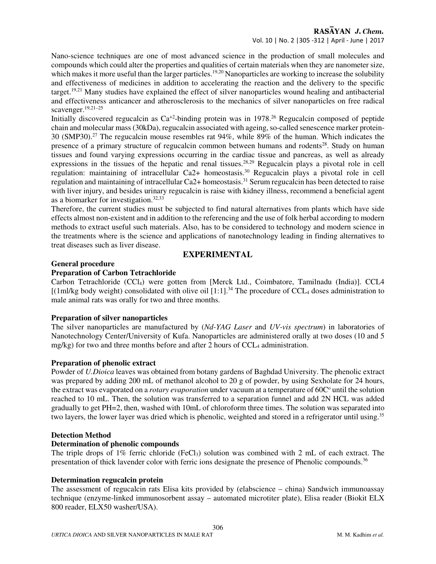Nano-science techniques are one of most advanced science in the production of small molecules and compounds which could alter the properties and qualities of certain materials when they are nanometer size, which makes it more useful than the larger particles.<sup>19,20</sup> Nanoparticles are working to increase the solubility and effectiveness of medicines in addition to accelerating the reaction and the delivery to the specific target.19,21 Many studies have explained the effect of silver nanoparticles wound healing and antibacterial and effectiveness anticancer and atherosclerosis to the mechanics of silver nanoparticles on free radical scavenger.19,21–25

Initially discovered regucalcin as  $Ca^{2}$ -binding protein was in 1978.<sup>26</sup> Regucalcin composed of peptide chain and molecular mass (30kDa), regucalcin associated with ageing, so-called senescence marker protein-30 (SMP30).<sup>27</sup> The regucalcin mouse resembles rat 94%, while 89% of the human. Which indicates the presence of a primary structure of regucalcin common between humans and rodents<sup>28</sup>. Study on human tissues and found varying expressions occurring in the cardiac tissue and pancreas, as well as already expressions in the tissues of the hepatic and renal tissues.<sup>28,29</sup> Regucalcin plays a pivotal role in cell regulation: maintaining of intracellular Ca2+ homeostasis.<sup>30</sup> Regucalcin plays a pivotal role in cell regulation and maintaining of intracellular Ca2+ homeostasis.<sup>31</sup> Serum regucalcin has been detected to raise with liver injury, and besides urinary regucalcin is raise with kidney illness, recommend a beneficial agent as a biomarker for investigation.32,33

Therefore, the current studies must be subjected to find natural alternatives from plants which have side effects almost non-existent and in addition to the referencing and the use of folk herbal according to modern methods to extract useful such materials. Also, has to be considered to technology and modern science in the treatments where is the science and applications of nanotechnology leading in finding alternatives to treat diseases such as liver disease.

## **EXPERIMENTAL**

## **General procedure**

#### **Preparation of Carbon Tetrachloride**

Carbon Tetrachloride (CCl4) were gotten from [Merck Ltd., Coimbatore, Tamilnadu (India)]. CCL4  $[(1m)/kg$  body weight) consolidated with olive oil  $[1:1]$ .<sup>34</sup> The procedure of CCL<sub>4</sub> doses administration to male animal rats was orally for two and three months.

#### **Preparation of silver nanoparticles**

The silver nanoparticles are manufactured by (*Nd-YAG Laser* and *UV-vis spectrum*) in laboratories of Nanotechnology Center/University of Kufa. Nanoparticles are administered orally at two doses (10 and 5 mg/kg) for two and three months before and after 2 hours of  $CCL<sub>4</sub>$  administration.

## **Preparation of phenolic extract**

Powder of *U.Dioica* leaves was obtained from botany gardens of Baghdad University. The phenolic extract was prepared by adding 200 mL of methanol alcohol to 20 g of powder, by using Sexholate for 24 hours, the extract was evaporated on a *rotary evaporation* under vacuum at a temperature of 60C<sup>o</sup> until the solution reached to 10 mL. Then, the solution was transferred to a separation funnel and add 2N HCL was added gradually to get PH=2, then, washed with 10mL of chloroform three times. The solution was separated into two layers, the lower layer was dried which is phenolic, weighted and stored in a refrigerator until using.<sup>35</sup>

## **Detection Method**

## **Determination of phenolic compounds**

The triple drops of  $1\%$  ferric chloride (FeCl<sub>3</sub>) solution was combined with 2 mL of each extract. The presentation of thick lavender color with ferric ions designate the presence of Phenolic compounds.<sup>36</sup>

#### **Determination regucalcin protein**

The assessment of regucalcin rats Elisa kits provided by (elabscience – china) Sandwich immunoassay technique (enzyme-linked immunosorbent assay – automated microtiter plate), Elisa reader (Biokit ELX 800 reader, ELX50 washer/USA).

306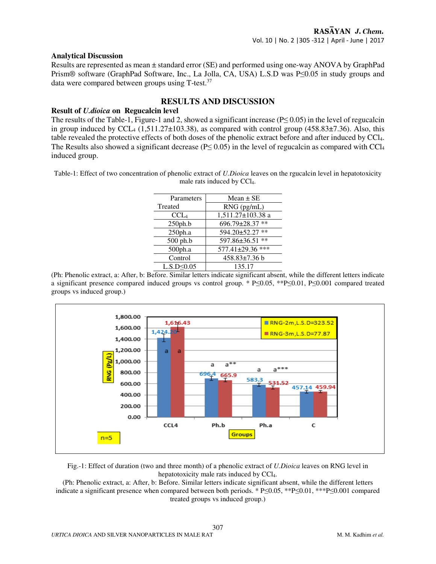#### **Analytical Discussion**

Results are represented as mean ± standard error (SE) and performed using one-way ANOVA by GraphPad Prism® software (GraphPad Software, Inc., La Jolla, CA, USA) L.S.D was P≤0.05 in study groups and data were compared between groups using  $T$ -test.<sup>37</sup>

## **RESULTS AND DISCUSSION**

#### **Result of** *U.dioica* **on Regucalcin level**

The results of the Table-1, Figure-1 and 2, showed a significant increase ( $P \le 0.05$ ) in the level of regucalcin in group induced by CCL<sub>4</sub> (1,511.27 $\pm$ 103.38), as compared with control group (458.83 $\pm$ 7.36). Also, this table revealed the protective effects of both doses of the phenolic extract before and after induced by CCl4. The Results also showed a significant decrease ( $P \le 0.05$ ) in the level of regucalcin as compared with CCl<sub>4</sub> induced group.

Table-1: Effect of two concentration of phenolic extract of *U.Dioica* leaves on the rgucalcin level in hepatotoxicity male rats induced by CCl<sub>4</sub>.

| Parameters        | Mean $\pm$ SE          |
|-------------------|------------------------|
| Treated           | RNG (pg/mL)            |
| CCL <sub>4</sub>  | 1,511.27±103.38 a      |
| 250ph.b           | 696.79±28.37 **        |
| 250ph.a           | $594.20 \pm 52.27$ **  |
| 500 ph.b          | 597.86±36.51 **        |
| 500ph.a           | $577.41 \pm 29.36$ *** |
| Control           | $458.83 \pm 7.36$ b    |
| $L.S.D \leq 0.05$ | 135.17                 |

(Ph: Phenolic extract, a: After, b: Before. Similar letters indicate significant absent, while the different letters indicate a significant presence compared induced groups vs control group. \* P≤0.05, \*\*P≤0.01, P≤0.001 compared treated groups vs induced group.)



Fig.-1: Effect of duration (two and three month) of a phenolic extract of *U.Dioica* leaves on RNG level in hepatotoxicity male rats induced by CCl<sub>4</sub>.

(Ph: Phenolic extract, a: After, b: Before. Similar letters indicate significant absent, while the different letters indicate a significant presence when compared between both periods. \* P≤0.05, \*\*P≤0.01, \*\*\*P≤0.001 compared treated groups vs induced group.)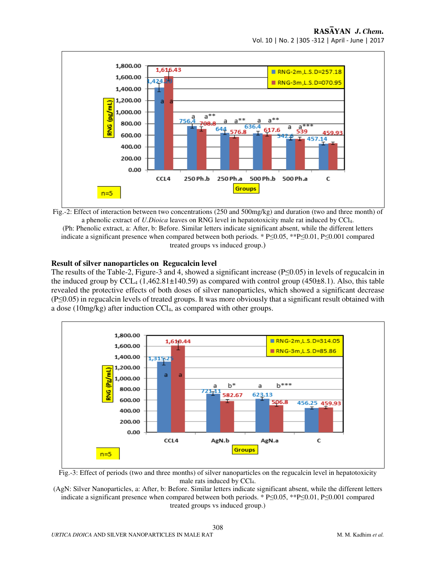

Fig.-2: Effect of interaction between two concentrations (250 and 500mg/kg) and duration (two and three month) of a phenolic extract of *U.Dioica* leaves on RNG level in hepatotoxicity male rat induced by CCl4. (Ph: Phenolic extract, a: After, b: Before. Similar letters indicate significant absent, while the different letters indicate a significant presence when compared between both periods. \* P≤0.05, \*\*P≤0.01, P≤0.001 compared treated groups vs induced group.)

#### **Result of silver nanoparticles on Regucalcin level**

The results of the Table-2, Figure-3 and 4, showed a significant increase (P≤0.05) in levels of regucalcin in the induced group by  $CCL_4$  (1,462.81 $\pm$ 140.59) as compared with control group (450 $\pm$ 8.1). Also, this table revealed the protective effects of both doses of silver nanoparticles, which showed a significant decrease (P≤0.05) in regucalcin levels of treated groups. It was more obviously that a significant result obtained with a dose (10mg/kg) after induction CCl4, as compared with other groups.



Fig.-3: Effect of periods (two and three months) of silver nanoparticles on the regucalcin level in hepatotoxicity male rats induced by CCl<sub>4</sub>.

(AgN: Silver Nanoparticles, a: After, b: Before. Similar letters indicate significant absent, while the different letters indicate a significant presence when compared between both periods. \* P≤0.05, \*\*P≤0.01, P≤0.001 compared treated groups vs induced group.)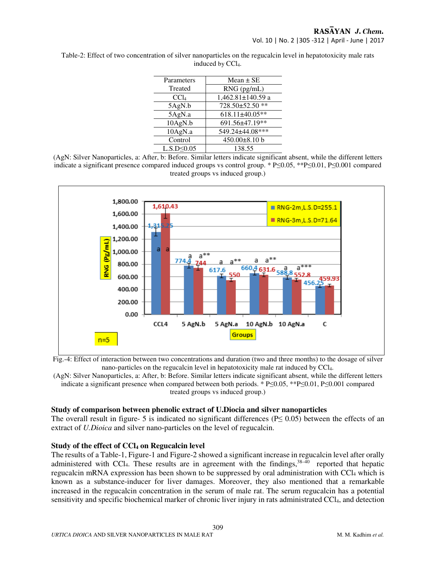| Parameters        | Mean $\pm$ SE     |
|-------------------|-------------------|
| Treated           |                   |
|                   | $RNG$ ( $pg/mL$ ) |
| CCl <sub>4</sub>  | 1,462.81±140.59 a |
| 5AgN.b            | 728.50±52.50 **   |
| 5AgN.a            | 618.11±40.05**    |
| 10AgN.b           | 691.56±47.19**    |
| 10AgN.a           | 549.24±44.08***   |
| Control           | 450.00±8.10 b     |
| $L.S.D \leq 0.05$ | 138.55            |

Table-2: Effect of two concentration of silver nanoparticles on the regucalcin level in hepatotoxicity male rats induced by CCl<sub>4</sub>.

(AgN: Silver Nanoparticles, a: After, b: Before. Similar letters indicate significant absent, while the different letters indicate a significant presence compared induced groups vs control group. \* P≤0.05, \*\*P≤0.01, P≤0.001 compared treated groups vs induced group.)



Fig.-4: Effect of interaction between two concentrations and duration (two and three months) to the dosage of silver nano-particles on the regucalcin level in hepatotoxicity male rat induced by CCl4.

(AgN: Silver Nanoparticles, a: After, b: Before. Similar letters indicate significant absent, while the different letters indicate a significant presence when compared between both periods. \* P≤0.05, \*\*P≤0.01, P≤0.001 compared treated groups vs induced group.)

## **Study of comparison between phenolic extract of U.Diocia and silver nanoparticles**

The overall result in figure- 5 is indicated no significant differences ( $P \le 0.05$ ) between the effects of an extract of *U.Dioica* and silver nano-particles on the level of regucalcin.

#### **Study of the effect of CCl4 on Regucalcin level**

The results of a Table-1, Figure-1 and Figure-2 showed a significant increase in regucalcin level after orally administered with CCl<sub>4</sub>. These results are in agreement with the findings,  $38-\overline{40}$  reported that hepatic regucalcin mRNA expression has been shown to be suppressed by oral administration with CCl<sub>4</sub> which is known as a substance-inducer for liver damages. Moreover, they also mentioned that a remarkable increased in the regucalcin concentration in the serum of male rat. The serum regucalcin has a potential sensitivity and specific biochemical marker of chronic liver injury in rats administrated CCl<sub>4</sub>, and detection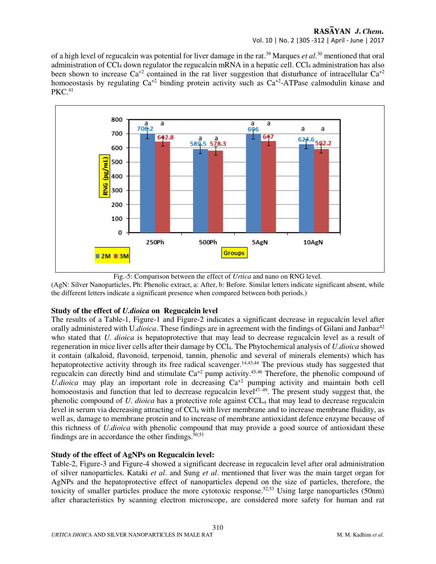## RASAYAN J. Chem. Vol. 10 | No. 2 |305 -312 | April - June | 2017

of a high level of regucalcin was potential for liver damage in the rat.<sup>39</sup> Marques *et al*.<sup>30</sup> mentioned that oral administration of  $\text{CC}l_4$  down regulator the regucalcin mRNA in a hepatic cell.  $\text{CC}l_4$  administration has also been shown to increase  $Ca^{+2}$  contained in the rat liver suggestion that disturbance of intracellular  $Ca^{+2}$ homoeostasis by regulating  $Ca^{+2}$  binding protein activity such as  $Ca^{+2}$ -ATPase calmodulin kinase and  $PKC.<sub>41</sub>$ 





(AgN: Silver Nanoparticles, Ph: Phenolic extract, a: After, b: Before. Similar letters indicate significant absent, while the different letters indicate a significant presence when compared between both periods.)

## **Study of the effect of** *U.dioica* **on Regucalcin level**

The results of a Table-1, Figure-1 and Figure-2 indicates a significant decrease in regucalcin level after orally administered with U.*dioica*. These findings are in agreement with the findings of Gilani and Janbaz<sup>42</sup> who stated that *U. dioica* is hepatoprotective that may lead to decrease regucalcin level as a result of regeneration in mice liver cells after their damage by CCl4. The Phytochemical analysis of *U.dioica* showed it contain (alkaloid, flavonoid, terpenoid, tannin, phenolic and several of minerals elements) which has hepatoprotective activity through its free radical scavenger.<sup>14,43,44</sup> The previous study has suggested that regucalcin can directly bind and stimulate  $Ca^{+2}$  pump activity.<sup>45,46</sup> Therefore, the phenolic compound of *U.dioica* may play an important role in decreasing Ca<sup>+2</sup> pumping activity and maintain both cell homoeostasis and function that led to decrease regucalcin level<sup> $47-49$ </sup>. The present study suggest that, the phenolic compound of *U. dioica* has a protective role against CCL4 that may lead to decrease regucalcin level in serum via decreasing attracting of CCl4 with liver membrane and to increase membrane fluidity, as well as, damage to membrane protein and to increase of membrane antioxidant defence enzyme because of this richness of *U.dioica* with phenolic compound that may provide a good source of antioxidant these findings are in accordance the other findings. $50,51$ 

## **Study of the effect of AgNPs on Regucalcin level:**

Table-2, Figure-3 and Figure-4 showed a significant decrease in regucalcin level after oral administration of silver nanoparticles. Kataki *et al*. and Sung *et al*. mentioned that liver was the main target organ for AgNPs and the hepatoprotective effect of nanoparticles depend on the size of particles, therefore, the toxicity of smaller particles produce the more cytotoxic response.52,53 Using large nanoparticles (50nm) after characteristics by scanning electron microscope, are considered more safety for human and rat

310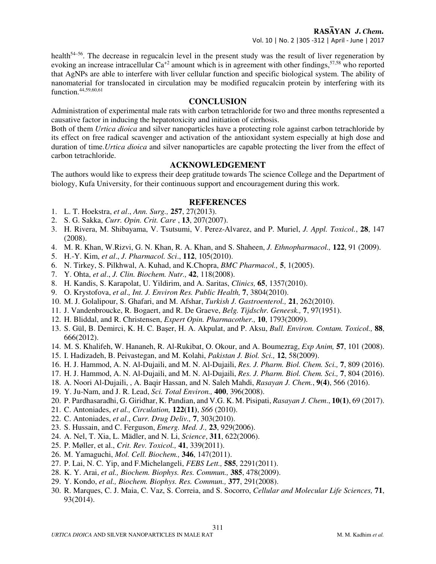health<sup>54–56</sup>. The decrease in regucalcin level in the present study was the result of liver regeneration by evoking an increase intracellular  $Ca^{+2}$  amount which is in agreement with other findings,  $57,58$  who reported that AgNPs are able to interfere with liver cellular function and specific biological system. The ability of nanomaterial for translocated in circulation may be modified regucalcin protein by interfering with its function.44,59,60,61

## **CONCLUSION**

Administration of experimental male rats with carbon tetrachloride for two and three months represented a causative factor in inducing the hepatotoxicity and initiation of cirrhosis.

Both of them *Urtica dioica* and silver nanoparticles have a protecting role against carbon tetrachloride by its effect on free radical scavenger and activation of the antioxidant system especially at high dose and duration of time.*Urtica dioica* and silver nanoparticles are capable protecting the liver from the effect of carbon tetrachloride.

## **ACKNOWLEDGEMENT**

The authors would like to express their deep gratitude towards The science College and the Department of biology, Kufa University, for their continuous support and encouragement during this work.

## **REFERENCES**

- 1. L. T. Hoekstra, *et al*., *Ann. Surg.,* **257**, 27(2013).
- 2. S. G. Sakka, *Curr. Opin. Crit. Care* , **13**, 207(2007).
- 3. H. Rivera, M. Shibayama, V. Tsutsumi, V. Perez-Alvarez, and P. Muriel, *J. Appl. Toxicol.*, **28**, 147 (2008).
- 4. M. R. Khan, W.Rizvi, G. N. Khan, R. A. Khan, and S. Shaheen, *J. Ethnopharmacol.,* **122**, 91 (2009).
- 5. H.-Y. Kim, *et al*., *J. Pharmacol. Sci*., **112**, 105(2010).
- 6. N. Tirkey, S. Pilkhwal, A. Kuhad, and K.Chopra, *BMC Pharmacol.,* **5**, 1(2005).
- 7. Y. Ohta, *et al*., *J. Clin. Biochem. Nutr.,* **42**, 118(2008).
- 8. H. Kandis, S. Karapolat, U. Yildirim, and A. Saritas, *Clinics,* **65**, 1357(2010).
- 9. O. Krystofova, *et al*.*, Int. J. Environ Res. Public Health,* **7**, 3804(2010).
- 10. M. J. Golalipour, S. Ghafari, and M. Afshar, *Turkish J. Gastroenterol.,* **21**, 262(2010).
- 11. J. Vandenbroucke, R. Bogaert, and R. De Graeve, *Belg. Tijdschr. Geneesk.,* **7**, 97(1951).
- 12. H. Bliddal, and R. Christensen, *Expert Opin. Pharmacother.,* **10**, 1793(2009).
- 13. S. Gül, B. Demirci, K. H. C. Başer, H. A. Akpulat, and P. Aksu, *Bull. Environ. Contam. Toxicol.,* **88**, 666(2012).
- 14. M. S. Khalifeh, W. Hananeh, R. Al-Rukibat, O. Okour, and A. Boumezrag, *Exp Anim,* **57**, 101 (2008).
- 15. I. Hadizadeh, B. Peivastegan, and M. Kolahi, *Pakistan J. Biol. Sci.,* **12**, 58(2009).
- 16. H. J. Hammod, A. N. Al-Dujaili, and M. N. Al-Dujaili, *Res. J. Pharm. Biol. Chem. Sci.,* **7**, 809 (2016).
- 17. H. J. Hammod, A. N. Al-Dujaili, and M. N. Al-Dujaili, *Res. J. Pharm. Biol. Chem. Sci.,* **7**, 804 (2016).
- 18. A. Noori Al-Dujaili, , A. Baqir Hassan, and N. Saleh Mahdi, *Rasayan J. Chem.*, **9(4)**, 566 (2016).
- 19. Y. Ju-Nam, and J. R. Lead, *Sci. Total Environ.,* **400**, 396(2008).
- 20. P. Pardhasaradhi, G. Giridhar, K. Pandian, and V.G. K. M. Pisipati, *Rasayan J. Chem*., **10(1)**, 69 (2017).
- 21. C. Antoniades, *et al., Circulation,* **122(11)**, *S66* (2010).
- 22. C. Antoniades, *et al*., *Curr. Drug Deliv.,* **7**, 303(2010).
- 23. S. Hussain, and C. Ferguson, *Emerg. Med. J.,* **23**, 929(2006).
- 24. A. Nel, T. Xia, L. Mädler, and N. Li, *Science*, **311**, 622(2006).
- 25. P. Møller, et al., *Crit. Rev. Toxicol.,* **41**, 339(2011).
- 26. M. Yamaguchi, *Mol. Cell. Biochem.,* **346**, 147(2011).
- 27. P. Lai, N. C. Yip, and F.Michelangeli, *FEBS Lett.,* **585**, 2291(2011).
- 28. K. Y. Arai, *et al., Biochem. Biophys. Res. Commun.,* **385**, 478(2009).
- 29. Y. Kondo, *et al., Biochem. Biophys. Res. Commun.,* **377**, 291(2008).
- 30. R. Marques, C. J. Maia, C. Vaz, S. Correia, and S. Socorro, *Cellular and Molecular Life Sciences,* **71**, 93(2014).